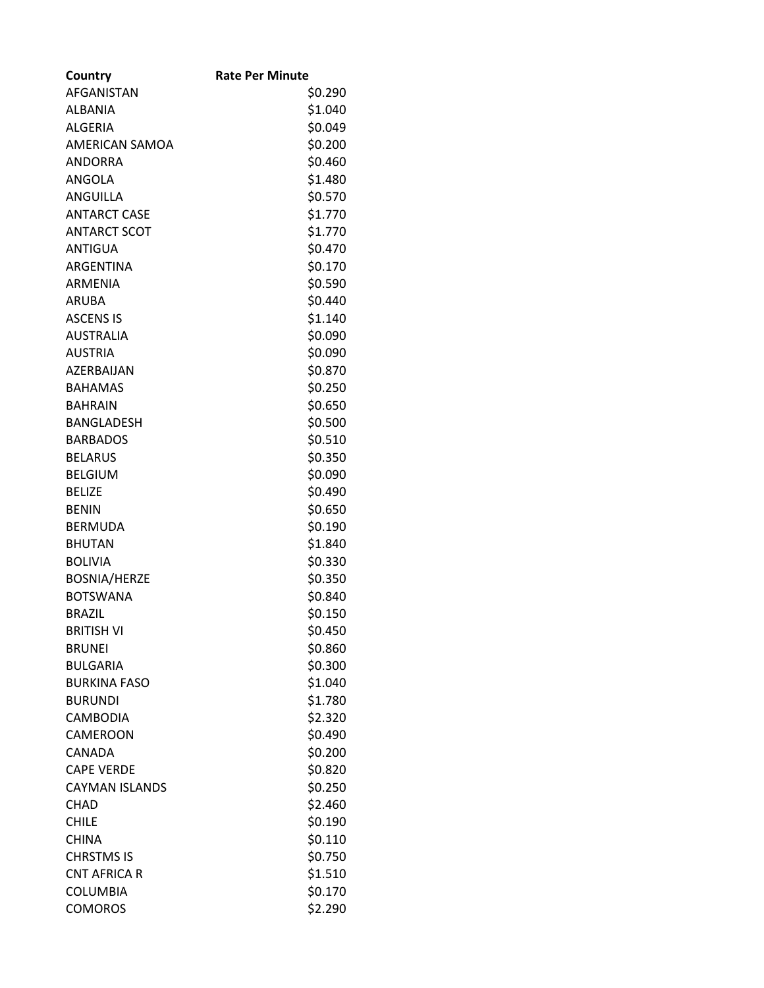| Country               | <b>Rate Per Minute</b> |
|-----------------------|------------------------|
| <b>AFGANISTAN</b>     | \$0.290                |
| <b>ALBANIA</b>        | \$1.040                |
| <b>ALGERIA</b>        | \$0.049                |
| <b>AMERICAN SAMOA</b> | \$0.200                |
| <b>ANDORRA</b>        | \$0.460                |
| <b>ANGOLA</b>         | \$1.480                |
| <b>ANGUILLA</b>       | \$0.570                |
| <b>ANTARCT CASE</b>   | \$1.770                |
| <b>ANTARCT SCOT</b>   | \$1.770                |
| <b>ANTIGUA</b>        | \$0.470                |
| <b>ARGENTINA</b>      | \$0.170                |
| <b>ARMENIA</b>        | \$0.590                |
| <b>ARUBA</b>          | \$0.440                |
| <b>ASCENS IS</b>      | \$1.140                |
| <b>AUSTRALIA</b>      | \$0.090                |
| <b>AUSTRIA</b>        | \$0.090                |
| AZERBAIJAN            | \$0.870                |
| <b>BAHAMAS</b>        | \$0.250                |
| <b>BAHRAIN</b>        | \$0.650                |
| <b>BANGLADESH</b>     | \$0.500                |
| <b>BARBADOS</b>       | \$0.510                |
| <b>BELARUS</b>        | \$0.350                |
| <b>BELGIUM</b>        | \$0.090                |
| <b>BELIZE</b>         | \$0.490                |
| <b>BENIN</b>          | \$0.650                |
| <b>BERMUDA</b>        | \$0.190                |
| <b>BHUTAN</b>         | \$1.840                |
| <b>BOLIVIA</b>        | \$0.330                |
| <b>BOSNIA/HERZE</b>   | \$0.350                |
| <b>BOTSWANA</b>       | \$0.840                |
| <b>BRAZIL</b>         | \$0.150                |
| <b>BRITISH VI</b>     | \$0.450                |
| <b>BRUNEI</b>         | \$0.860                |
| <b>BULGARIA</b>       | \$0.300                |
| <b>BURKINA FASO</b>   | \$1.040                |
| <b>BURUNDI</b>        | \$1.780                |
| <b>CAMBODIA</b>       | \$2.320                |
| CAMEROON              | \$0.490                |
| CANADA                | \$0.200                |
| <b>CAPE VERDE</b>     | \$0.820                |
| <b>CAYMAN ISLANDS</b> | \$0.250                |
| <b>CHAD</b>           | \$2.460                |
| <b>CHILE</b>          | \$0.190                |
| <b>CHINA</b>          | \$0.110                |
| <b>CHRSTMS IS</b>     | \$0.750                |
| <b>CNT AFRICA R</b>   | \$1.510                |
| <b>COLUMBIA</b>       | \$0.170                |
| <b>COMOROS</b>        | \$2.290                |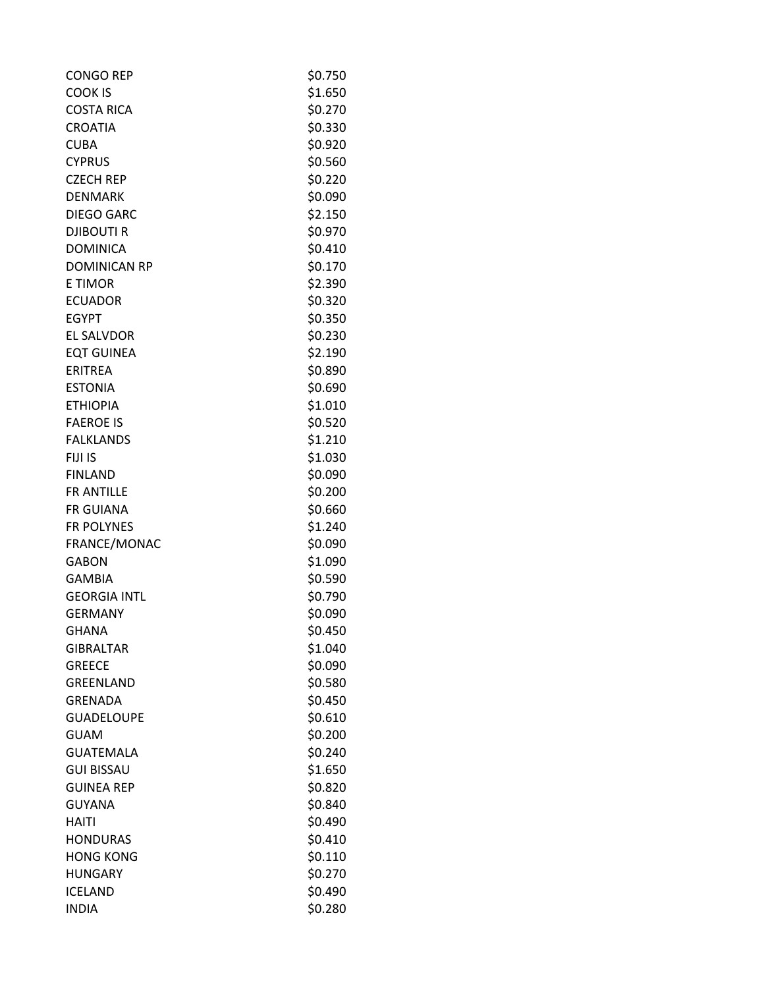| <b>CONGO REP</b>    | \$0.750 |
|---------------------|---------|
| <b>COOK IS</b>      | \$1.650 |
| <b>COSTA RICA</b>   | \$0.270 |
| <b>CROATIA</b>      | \$0.330 |
| <b>CUBA</b>         | \$0.920 |
| <b>CYPRUS</b>       | \$0.560 |
| <b>CZECH REP</b>    | \$0.220 |
| <b>DENMARK</b>      | \$0.090 |
| <b>DIEGO GARC</b>   | \$2.150 |
| <b>DJIBOUTIR</b>    | \$0.970 |
| <b>DOMINICA</b>     | \$0.410 |
| <b>DOMINICAN RP</b> | \$0.170 |
| <b>E TIMOR</b>      | \$2.390 |
| <b>ECUADOR</b>      | \$0.320 |
| <b>EGYPT</b>        | \$0.350 |
| <b>EL SALVDOR</b>   | \$0.230 |
| <b>EQT GUINEA</b>   | \$2.190 |
| <b>ERITREA</b>      | \$0.890 |
| <b>ESTONIA</b>      | \$0.690 |
| <b>ETHIOPIA</b>     | \$1.010 |
| <b>FAEROE IS</b>    | \$0.520 |
| <b>FALKLANDS</b>    | \$1.210 |
| FIJI IS             | \$1.030 |
| <b>FINLAND</b>      | \$0.090 |
| FR ANTILLE          | \$0.200 |
| <b>FR GUIANA</b>    | \$0.660 |
| FR POLYNES          | \$1.240 |
| FRANCE/MONAC        | \$0.090 |
| <b>GABON</b>        | \$1.090 |
| <b>GAMBIA</b>       | \$0.590 |
| <b>GEORGIA INTL</b> | \$0.790 |
| <b>GERMANY</b>      | \$0.090 |
| <b>GHANA</b>        | \$0.450 |
| <b>GIBRALTAR</b>    | \$1.040 |
| <b>GREECE</b>       | \$0.090 |
| <b>GREENLAND</b>    | \$0.580 |
| <b>GRENADA</b>      | \$0.450 |
| <b>GUADELOUPE</b>   | \$0.610 |
| <b>GUAM</b>         | \$0.200 |
| <b>GUATEMALA</b>    | \$0.240 |
| <b>GUI BISSAU</b>   | \$1.650 |
| <b>GUINEA REP</b>   | \$0.820 |
| <b>GUYANA</b>       | \$0.840 |
| <b>HAITI</b>        | \$0.490 |
| <b>HONDURAS</b>     | \$0.410 |
| <b>HONG KONG</b>    | \$0.110 |
| <b>HUNGARY</b>      | \$0.270 |
| <b>ICELAND</b>      | \$0.490 |
| <b>INDIA</b>        | \$0.280 |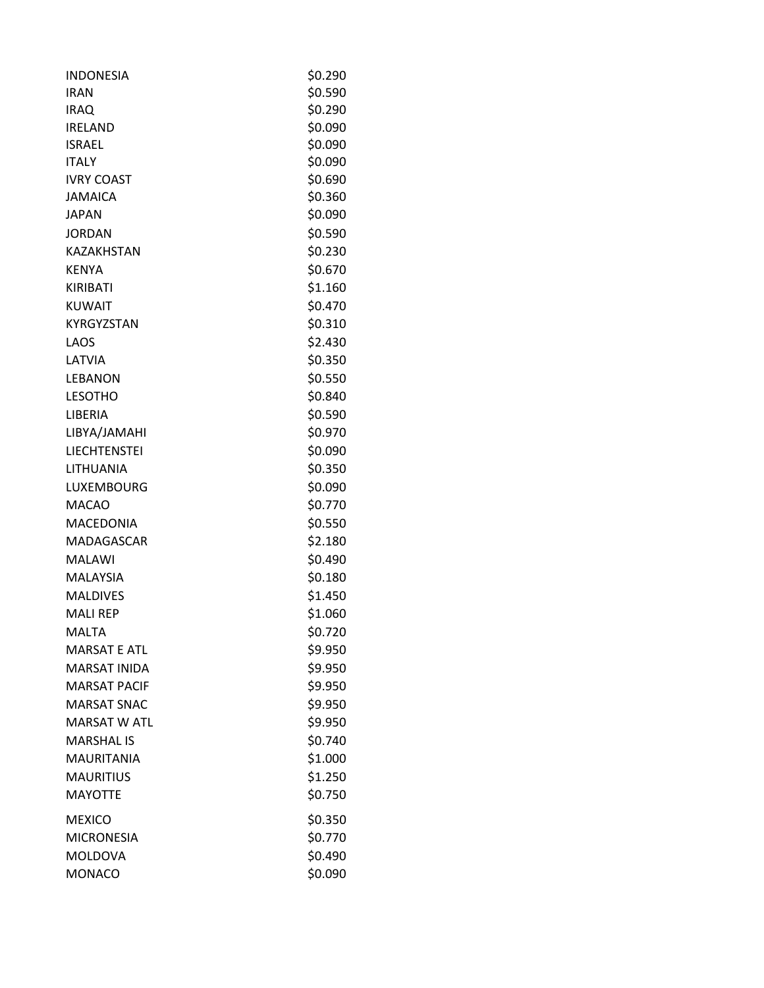| <b>INDONESIA</b>    | \$0.290 |
|---------------------|---------|
| <b>IRAN</b>         | \$0.590 |
| <b>IRAQ</b>         | \$0.290 |
| <b>IRELAND</b>      | \$0.090 |
| <b>ISRAEL</b>       | \$0.090 |
| <b>ITALY</b>        | \$0.090 |
| <b>IVRY COAST</b>   | \$0.690 |
| <b>JAMAICA</b>      | \$0.360 |
| <b>JAPAN</b>        | \$0.090 |
| <b>JORDAN</b>       | \$0.590 |
| <b>KAZAKHSTAN</b>   | \$0.230 |
| <b>KENYA</b>        | \$0.670 |
| KIRIBATI            | \$1.160 |
| <b>KUWAIT</b>       | \$0.470 |
| <b>KYRGYZSTAN</b>   | \$0.310 |
| LAOS                | \$2.430 |
| LATVIA              | \$0.350 |
| <b>LEBANON</b>      | \$0.550 |
| <b>LESOTHO</b>      | \$0.840 |
| LIBERIA             | \$0.590 |
| LIBYA/JAMAHI        | \$0.970 |
| <b>LIECHTENSTEI</b> | \$0.090 |
| LITHUANIA           | \$0.350 |
| LUXEMBOURG          | \$0.090 |
| <b>MACAO</b>        | \$0.770 |
| <b>MACEDONIA</b>    | \$0.550 |
| <b>MADAGASCAR</b>   | \$2.180 |
| <b>MALAWI</b>       | \$0.490 |
| <b>MALAYSIA</b>     | \$0.180 |
| <b>MALDIVES</b>     | \$1.450 |
| <b>MALI REP</b>     | \$1.060 |
| <b>MALTA</b>        | \$0.720 |
| <b>MARSAT E ATL</b> | \$9.950 |
| <b>MARSAT INIDA</b> | \$9.950 |
| <b>MARSAT PACIF</b> | \$9.950 |
| <b>MARSAT SNAC</b>  | \$9.950 |
| <b>MARSAT W ATL</b> | \$9.950 |
| <b>MARSHAL IS</b>   | \$0.740 |
| <b>MAURITANIA</b>   | \$1.000 |
| <b>MAURITIUS</b>    | \$1.250 |
| <b>MAYOTTE</b>      | \$0.750 |
|                     |         |
| <b>MEXICO</b>       | \$0.350 |
| <b>MICRONESIA</b>   | \$0.770 |
| <b>MOLDOVA</b>      | \$0.490 |
| <b>MONACO</b>       | \$0.090 |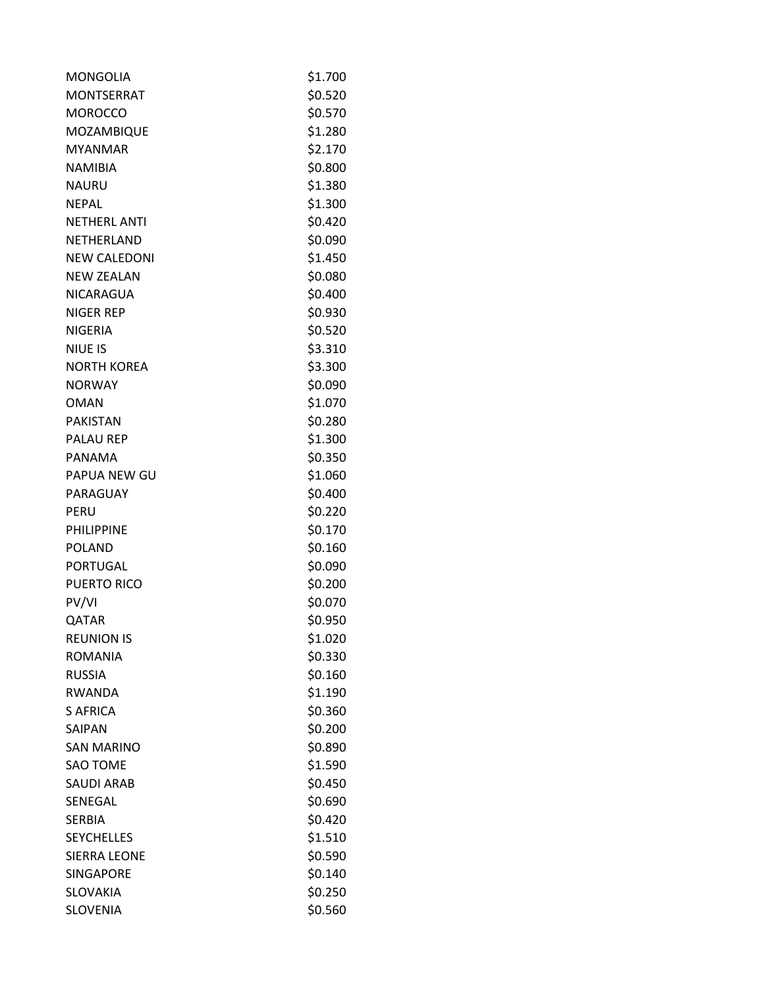| <b>MONGOLIA</b>     | \$1.700 |
|---------------------|---------|
| <b>MONTSERRAT</b>   | \$0.520 |
| <b>MOROCCO</b>      | \$0.570 |
| MOZAMBIQUE          | \$1.280 |
| <b>MYANMAR</b>      | \$2.170 |
| <b>NAMIBIA</b>      | \$0.800 |
| <b>NAURU</b>        | \$1.380 |
| <b>NFPAL</b>        | \$1.300 |
| <b>NETHERL ANTI</b> | \$0.420 |
| NETHERLAND          | \$0.090 |
| <b>NEW CALEDONI</b> | \$1.450 |
| <b>NEW ZEALAN</b>   | \$0.080 |
| NICARAGUA           | \$0.400 |
| <b>NIGER REP</b>    | \$0.930 |
| <b>NIGERIA</b>      | \$0.520 |
| <b>NIUE IS</b>      | \$3.310 |
| <b>NORTH KOREA</b>  | \$3.300 |
| <b>NORWAY</b>       | \$0.090 |
| <b>OMAN</b>         | \$1.070 |
| <b>PAKISTAN</b>     | \$0.280 |
| <b>PALAU REP</b>    | \$1.300 |
| PANAMA              | \$0.350 |
| PAPUA NEW GU        | \$1.060 |
| PARAGUAY            | \$0.400 |
| PERU                | \$0.220 |
| <b>PHILIPPINE</b>   | \$0.170 |
| <b>POLAND</b>       | \$0.160 |
| <b>PORTUGAL</b>     | \$0.090 |
| <b>PUERTO RICO</b>  | \$0.200 |
| PV/VI               | \$0.070 |
| QATAR               | \$0.950 |
| <b>REUNION IS</b>   | \$1.020 |
| <b>ROMANIA</b>      | \$0.330 |
| <b>RUSSIA</b>       | \$0.160 |
| <b>RWANDA</b>       | \$1.190 |
| <b>S AFRICA</b>     | \$0.360 |
| SAIPAN              | \$0.200 |
| <b>SAN MARINO</b>   | \$0.890 |
| <b>SAO TOME</b>     | \$1.590 |
| <b>SAUDI ARAB</b>   | \$0.450 |
| SENEGAL             | \$0.690 |
| <b>SERBIA</b>       | \$0.420 |
| <b>SEYCHELLES</b>   | \$1.510 |
| <b>SIERRA LEONE</b> | \$0.590 |
| <b>SINGAPORE</b>    | \$0.140 |
| <b>SLOVAKIA</b>     | \$0.250 |
| <b>SLOVENIA</b>     | \$0.560 |